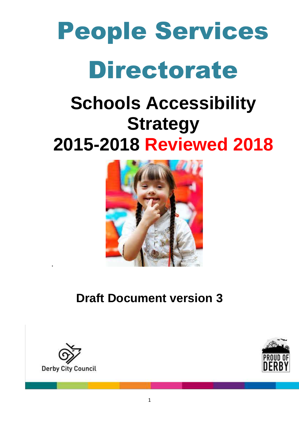# People Services Directorate

## **Schools Accessibility Strategy 2015-2018 Reviewed 2018**



**Draft Document version 3**



**.**

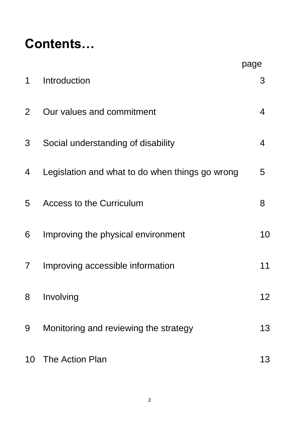## **Contents…**

|                          |                                                 | page |
|--------------------------|-------------------------------------------------|------|
| 1                        | Introduction                                    | З    |
| $\overline{2}$           | Our values and commitment                       | 4    |
| 3                        | Social understanding of disability              | 4    |
| 4                        | Legislation and what to do when things go wrong | 5    |
| 5                        | <b>Access to the Curriculum</b>                 | 8    |
| 6                        | Improving the physical environment              | 10   |
| $\overline{\mathcal{L}}$ | Improving accessible information                | 11   |
| 8                        | Involving                                       | 12   |
| 9                        | Monitoring and reviewing the strategy           | 13   |
| 10                       | The Action Plan                                 | 13   |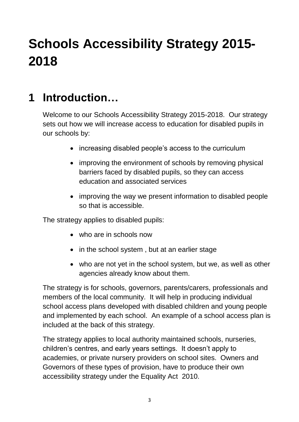## **Schools Accessibility Strategy 2015- 2018**

## **1 Introduction…**

Welcome to our Schools Accessibility Strategy 2015-2018. Our strategy sets out how we will increase access to education for disabled pupils in our schools by:

- increasing disabled people's access to the curriculum
- improving the environment of schools by removing physical barriers faced by disabled pupils, so they can access education and associated services
- improving the way we present information to disabled people so that is accessible.

The strategy applies to disabled pupils:

- who are in schools now
- in the school system, but at an earlier stage
- who are not yet in the school system, but we, as well as other agencies already know about them.

The strategy is for schools, governors, parents/carers, professionals and members of the local community. It will help in producing individual school access plans developed with disabled children and young people and implemented by each school. An example of a school access plan is included at the back of this strategy.

The strategy applies to local authority maintained schools, nurseries, children's centres, and early years settings. It doesn't apply to academies, or private nursery providers on school sites. Owners and Governors of these types of provision, have to produce their own accessibility strategy under the Equality Act 2010.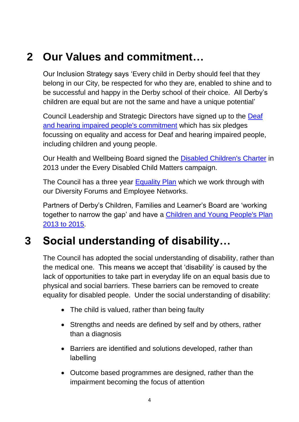## **2 Our Values and commitment…**

Our Inclusion Strategy says 'Every child in Derby should feel that they belong in our City, be respected for who they are, enabled to shine and to be successful and happy in the Derby school of their choice. All Derby's children are equal but are not the same and have a unique potential'

Council Leadership and Strategic Directors have signed up to the [Deaf](http://www.derby.gov.uk/community-and-living/equality-diversity/deaf-commitment/)  [and hearing impaired people's commitment](http://www.derby.gov.uk/community-and-living/equality-diversity/deaf-commitment/) which has six pledges focussing on equality and access for Deaf and hearing impaired people, including children and young people.

Our Health and Wellbeing Board signed the [Disabled Children's Charter](http://www.edcm.org.uk/get-involved/local-campaigning/local-authority-disabled-childrens-charter/signatories-to-the-local-authority-disabled-childrens-charter) in 2013 under the Every Disabled Child Matters campaign.

The Council has a three year [Equality Plan](http://www.derby.gov.uk/community-and-living/equality-diversity/equalities-commitment/) which we work through with our Diversity Forums and Employee Networks.

Partners of Derby's Children, Families and Learner's Board are 'working together to narrow the gap' and have a [Children and Young People's Plan](http://www.derby.gov.uk/media/derbycitycouncil/contentassets/documents/plans/DerbyCityCouncil-Children-and-Young-Peoples-Plan-2013-to-2015-January-2014.pdf)  [2013 to 2015.](http://www.derby.gov.uk/media/derbycitycouncil/contentassets/documents/plans/DerbyCityCouncil-Children-and-Young-Peoples-Plan-2013-to-2015-January-2014.pdf)

## **3 Social understanding of disability…**

The Council has adopted the social understanding of disability, rather than the medical one. This means we accept that 'disability' is caused by the lack of opportunities to take part in everyday life on an equal basis due to physical and social barriers. These barriers can be removed to create equality for disabled people. Under the social understanding of disability:

- The child is valued, rather than being faulty
- Strengths and needs are defined by self and by others, rather than a diagnosis
- Barriers are identified and solutions developed, rather than labelling
- Outcome based programmes are designed, rather than the impairment becoming the focus of attention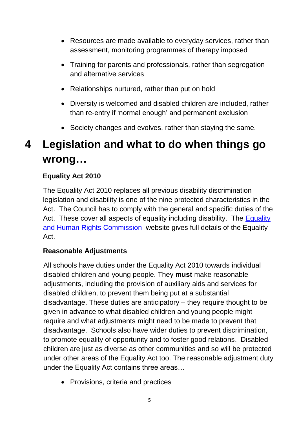- Resources are made available to everyday services, rather than assessment, monitoring programmes of therapy imposed
- Training for parents and professionals, rather than segregation and alternative services
- Relationships nurtured, rather than put on hold
- Diversity is welcomed and disabled children are included, rather than re-entry if 'normal enough' and permanent exclusion
- Society changes and evolves, rather than staying the same.

## **4 Legislation and what to do when things go wrong…**

#### **Equality Act 2010**

The Equality Act 2010 replaces all previous disability discrimination legislation and disability is one of the nine protected characteristics in the Act. The Council has to comply with the general and specific duties of the Act. These cover all aspects of equality including disability. The Equality [and Human Rights](http://www.equalityhumanrights.com/private-and-public-sector-guidance/public-sector-providers/public-sector-equality-duty) Commission website gives full details of the Equality Act.

#### **Reasonable Adjustments**

All schools have duties under the Equality Act 2010 towards individual disabled children and young people. They **must** make reasonable adjustments, including the provision of auxiliary aids and services for disabled children, to prevent them being put at a substantial disadvantage. These duties are anticipatory – they require thought to be given in advance to what disabled children and young people might require and what adjustments might need to be made to prevent that disadvantage. Schools also have wider duties to prevent discrimination, to promote equality of opportunity and to foster good relations. Disabled children are just as diverse as other communities and so will be protected under other areas of the Equality Act too. The reasonable adjustment duty under the Equality Act contains three areas…

• Provisions, criteria and practices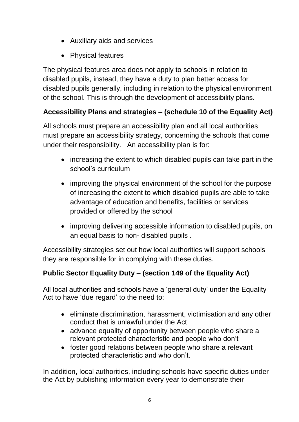- Auxiliary aids and services
- Physical features

The physical features area does not apply to schools in relation to disabled pupils, instead, they have a duty to plan better access for disabled pupils generally, including in relation to the physical environment of the school. This is through the development of accessibility plans.

#### **Accessibility Plans and strategies – (schedule 10 of the Equality Act)**

All schools must prepare an accessibility plan and all local authorities must prepare an accessibility strategy, concerning the schools that come under their responsibility. An accessibility plan is for:

- increasing the extent to which disabled pupils can take part in the school's curriculum
- improving the physical environment of the school for the purpose of increasing the extent to which disabled pupils are able to take advantage of education and benefits, facilities or services provided or offered by the school
- improving delivering accessible information to disabled pupils, on an equal basis to non- disabled pupils .

Accessibility strategies set out how local authorities will support schools they are responsible for in complying with these duties.

#### **Public Sector Equality Duty – (section 149 of the Equality Act)**

All local authorities and schools have a 'general duty' under the Equality Act to have 'due regard' to the need to:

- eliminate discrimination, harassment, victimisation and any other conduct that is unlawful under the Act
- advance equality of opportunity between people who share a relevant protected characteristic and people who don't
- foster good relations between people who share a relevant protected characteristic and who don't.

In addition, local authorities, including schools have specific duties under the Act by publishing information every year to demonstrate their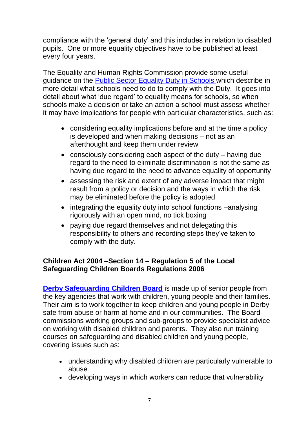compliance with the 'general duty' and this includes in relation to disabled pupils. One or more equality objectives have to be published at least every four years.

The Equality and Human Rights Commission provide some useful guidance on the [Public Sector Equality Duty in Schools w](http://www.equalityhumanrights.com/sites/default/files/publication_pdf/PSED%20Guide%20for%20Schools%20in%20England.pdf)hich describe in more detail what schools need to do to comply with the Duty. It goes into detail about what 'due regard' to equality means for schools, so when schools make a decision or take an action a school must assess whether it may have implications for people with particular characteristics, such as:

- considering equality implications before and at the time a policy is developed and when making decisions – not as an afterthought and keep them under review
- consciously considering each aspect of the duty having due regard to the need to eliminate discrimination is not the same as having due regard to the need to advance equality of opportunity
- assessing the risk and extent of any adverse impact that might result from a policy or decision and the ways in which the risk may be eliminated before the policy is adopted
- integrating the equality duty into school functions –analysing rigorously with an open mind, no tick boxing
- paying due regard themselves and not delegating this responsibility to others and recording steps they've taken to comply with the duty.

#### **Children Act 2004 –Section 14 – Regulation 5 of the Local Safeguarding Children Boards Regulations 2006**

**[Derby Safeguarding Children Board](http://www.derbyscb.org.uk/)** is made up of senior people from the key agencies that work with children, young people and their families. Their aim is to work together to keep children and young people in Derby safe from abuse or harm at home and in our communities. The Board commissions working groups and sub-groups to provide specialist advice on working with disabled children and parents. They also run training courses on safeguarding and disabled children and young people, covering issues such as:

- understanding why disabled children are particularly vulnerable to abuse
- developing ways in which workers can reduce that vulnerability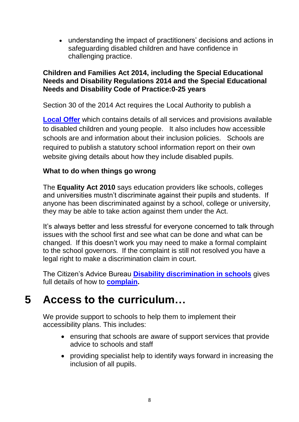understanding the impact of practitioners' decisions and actions in safeguarding disabled children and have confidence in challenging practice.

#### **Children and Families Act 2014, including the Special Educational Needs and Disability Regulations 2014 and the Special Educational Needs and Disability Code of Practice:0-25 years**

Section 30 of the 2014 Act requires the Local Authority to publish a

**[Local Offer](http://www.derby.gov.uk/education-and-learning/special-education-needs-disabilities/)** which contains details of all services and provisions available to disabled children and young people. It also includes how accessible schools are and information about their inclusion policies. Schools are required to publish a statutory school information report on their own website giving details about how they include disabled pupils.

#### **What to do when things go wrong**

The **Equality Act 2010** says education providers like schools, colleges and universities mustn't discriminate against their pupils and students. If anyone has been discriminated against by a school, college or university, they may be able to take action against them under the Act.

It's always better and less stressful for everyone concerned to talk through issues with the school first and see what can be done and what can be changed. If this doesn't work you may need to make a formal complaint to the school governors. If the complaint is still not resolved you have a legal right to make a discrimination claim in court.

The Citizen's Advice Bureau **[Disability discrimination in schools](https://www.citizensadvice.org.uk/education/discrimination-in-education/disability-discrimination-in-schools/)** gives full details of how to **[complain.](https://www.citizensadvice.org.uk/education/discrimination-in-education/taking-action-about-discrimination-in-education/)**

## **5 Access to the curriculum…**

We provide support to schools to help them to implement their accessibility plans. This includes:

- ensuring that schools are aware of support services that provide advice to schools and staff
- providing specialist help to identify ways forward in increasing the inclusion of all pupils.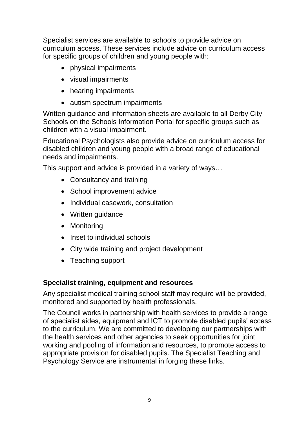Specialist services are available to schools to provide advice on curriculum access. These services include advice on curriculum access for specific groups of children and young people with:

- physical impairments
- visual impairments
- hearing impairments
- autism spectrum impairments

Written guidance and information sheets are available to all Derby City Schools on the Schools Information Portal for specific groups such as children with a visual impairment.

Educational Psychologists also provide advice on curriculum access for disabled children and young people with a broad range of educational needs and impairments.

This support and advice is provided in a variety of ways…

- Consultancy and training
- School improvement advice
- Individual casework, consultation
- Written guidance
- Monitoring
- Inset to individual schools
- City wide training and project development
- Teaching support

#### **Specialist training, equipment and resources**

Any specialist medical training school staff may require will be provided, monitored and supported by health professionals.

The Council works in partnership with health services to provide a range of specialist aides, equipment and ICT to promote disabled pupils' access to the curriculum. We are committed to developing our partnerships with the health services and other agencies to seek opportunities for joint working and pooling of information and resources, to promote access to appropriate provision for disabled pupils. The Specialist Teaching and Psychology Service are instrumental in forging these links.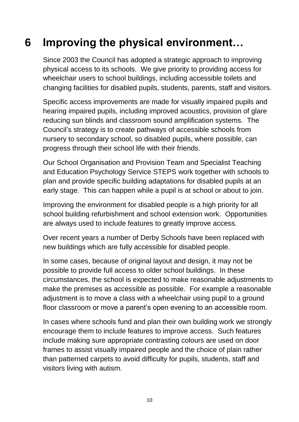## **6 Improving the physical environment…**

Since 2003 the Council has adopted a strategic approach to improving physical access to its schools. We give priority to providing access for wheelchair users to school buildings, including accessible toilets and changing facilities for disabled pupils, students, parents, staff and visitors.

Specific access improvements are made for visually impaired pupils and hearing impaired pupils, including improved acoustics, provision of glare reducing sun blinds and classroom sound amplification systems. The Council's strategy is to create pathways of accessible schools from nursery to secondary school, so disabled pupils, where possible, can progress through their school life with their friends.

Our School Organisation and Provision Team and Specialist Teaching and Education Psychology Service STEPS work together with schools to plan and provide specific building adaptations for disabled pupils at an early stage. This can happen while a pupil is at school or about to join.

Improving the environment for disabled people is a high priority for all school building refurbishment and school extension work. Opportunities are always used to include features to greatly improve access.

Over recent years a number of Derby Schools have been replaced with new buildings which are fully accessible for disabled people.

In some cases, because of original layout and design, it may not be possible to provide full access to older school buildings. In these circumstances, the school is expected to make reasonable adjustments to make the premises as accessible as possible. For example a reasonable adjustment is to move a class with a wheelchair using pupil to a ground floor classroom or move a parent's open evening to an accessible room.

In cases where schools fund and plan their own building work we strongly encourage them to include features to improve access. Such features include making sure appropriate contrasting colours are used on door frames to assist visually impaired people and the choice of plain rather than patterned carpets to avoid difficulty for pupils, students, staff and visitors living with autism.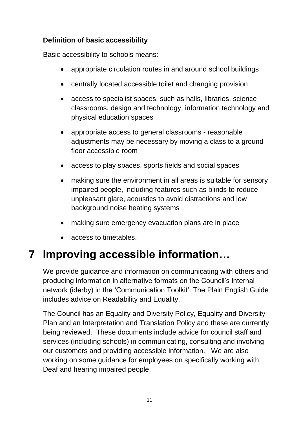#### **Definition of basic accessibility**

Basic accessibility to schools means:

- appropriate circulation routes in and around school buildings
- centrally located accessible toilet and changing provision
- access to specialist spaces, such as halls, libraries, science classrooms, design and technology, information technology and physical education spaces
- appropriate access to general classrooms reasonable adjustments may be necessary by moving a class to a ground floor accessible room
- access to play spaces, sports fields and social spaces
- making sure the environment in all areas is suitable for sensory impaired people, including features such as blinds to reduce unpleasant glare, acoustics to avoid distractions and low background noise heating systems
- making sure emergency evacuation plans are in place
- access to timetables.

## **7 Improving accessible information…**

We provide guidance and information on communicating with others and producing information in alternative formats on the Council's internal network (iderby) in the 'Communication Toolkit'. The Plain English Guide includes advice on Readability and Equality.

The Council has an Equality and Diversity Policy, Equality and Diversity Plan and an Interpretation and Translation Policy and these are currently being reviewed. These documents include advice for council staff and services (including schools) in communicating, consulting and involving our customers and providing accessible information. We are also working on some guidance for employees on specifically working with Deaf and hearing impaired people.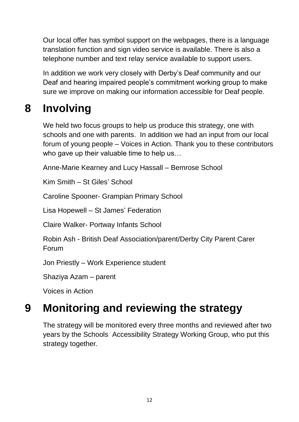Our local offer has symbol support on the webpages, there is a language translation function and sign video service is available. There is also a telephone number and text relay service available to support users.

In addition we work very closely with Derby's Deaf community and our Deaf and hearing impaired people's commitment working group to make sure we improve on making our information accessible for Deaf people.

## **8 Involving**

We held two focus groups to help us produce this strategy, one with schools and one with parents. In addition we had an input from our local forum of young people – Voices in Action. Thank you to these contributors who gave up their valuable time to help us…

Anne-Marie Kearney and Lucy Hassall – Bemrose School

Kim Smith – St Giles' School

Caroline Spooner- Grampian Primary School

Lisa Hopewell – St James' Federation

Claire Walker- Portway Infants School

Robin Ash - British Deaf Association/parent/Derby City Parent Carer Forum

Jon Priestly – Work Experience student

Shaziya Azam – parent

Voices in Action

## **9 Monitoring and reviewing the strategy**

The strategy will be monitored every three months and reviewed after two years by the Schools Accessibility Strategy Working Group, who put this strategy together.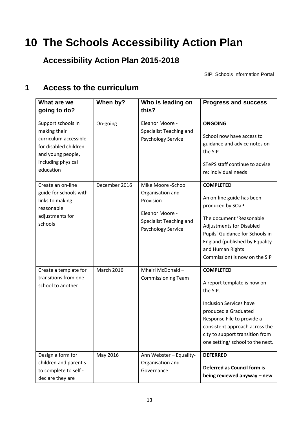## **10 The Schools Accessibility Action Plan**

#### **Accessibility Action Plan 2015-2018**

SIP: Schools Information Portal

#### **1 Access to the curriculum**

| What are we                                                                                                                                  | When by?          | Who is leading on                                                                                                              | <b>Progress and success</b>                                                                                                                                                                                                                                  |
|----------------------------------------------------------------------------------------------------------------------------------------------|-------------------|--------------------------------------------------------------------------------------------------------------------------------|--------------------------------------------------------------------------------------------------------------------------------------------------------------------------------------------------------------------------------------------------------------|
| going to do?                                                                                                                                 |                   | this?                                                                                                                          |                                                                                                                                                                                                                                                              |
| Support schools in<br>making their<br>curriculum accessible<br>for disabled children<br>and young people,<br>including physical<br>education | On-going          | Eleanor Moore -<br>Specialist Teaching and<br><b>Psychology Service</b>                                                        | <b>ONGOING</b><br>School now have access to<br>guidance and advice notes on<br>the SIP<br>STePS staff continue to advise<br>re: individual needs                                                                                                             |
| Create an on-line<br>guide for schools with<br>links to making<br>reasonable<br>adjustments for<br>schools                                   | December 2016     | Mike Moore -School<br>Organisation and<br>Provision<br>Eleanor Moore -<br>Specialist Teaching and<br><b>Psychology Service</b> | <b>COMPLETED</b><br>An on-line guide has been<br>produced by SOaP.<br>The document 'Reasonable<br><b>Adjustments for Disabled</b><br>Pupils' Guidance for Schools in<br>England (published by Equality<br>and Human Rights<br>Commission) is now on the SIP  |
| Create a template for<br>transitions from one<br>school to another                                                                           | <b>March 2016</b> | Mhairi McDonald-<br><b>Commissioning Team</b>                                                                                  | <b>COMPLETED</b><br>A report template is now on<br>the SIP.<br><b>Inclusion Services have</b><br>produced a Graduated<br>Response File to provide a<br>consistent approach across the<br>city to support transition from<br>one setting/ school to the next. |
| Design a form for<br>children and parent s<br>to complete to self -<br>declare they are                                                      | May 2016          | Ann Webster - Equality-<br>Organisation and<br>Governance                                                                      | <b>DEFERRED</b><br>Deferred as Council form is<br>being reviewed anyway - new                                                                                                                                                                                |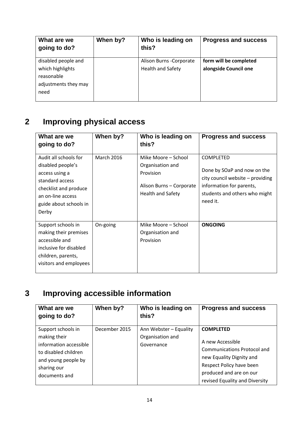| What are we<br>going to do?                                                           | When by? | Who is leading on<br>this?                    | <b>Progress and success</b>                     |
|---------------------------------------------------------------------------------------|----------|-----------------------------------------------|-------------------------------------------------|
| disabled people and<br>which highlights<br>reasonable<br>adjustments they may<br>need |          | Alison Burns - Corporate<br>Health and Safety | form will be completed<br>alongside Council one |

### **2 Improving physical access**

| What are we<br>going to do?                                                                                                                                      | When by?          | Who is leading on<br>this?                                                                            | <b>Progress and success</b>                                                                                                                                  |
|------------------------------------------------------------------------------------------------------------------------------------------------------------------|-------------------|-------------------------------------------------------------------------------------------------------|--------------------------------------------------------------------------------------------------------------------------------------------------------------|
| Audit all schools for<br>disabled people's<br>access using a<br>standard access<br>checklist and produce<br>an on-line access<br>guide about schools in<br>Derby | <b>March 2016</b> | Mike Moore – School<br>Organisation and<br>Provision<br>Alison Burns - Corporate<br>Health and Safety | <b>COMPLETED</b><br>Done by SOaP and now on the<br>city council website - providing<br>information for parents,<br>students and others who might<br>need it. |
| Support schools in<br>making their premises<br>accessible and<br>inclusive for disabled<br>children, parents,<br>visitors and employees                          | On-going          | Mike Moore - School<br>Organisation and<br>Provision                                                  | <b>ONGOING</b>                                                                                                                                               |

### **3 Improving accessible information**

| What are we<br>going to do?            | When by?      | Who is leading on<br>this?     | <b>Progress and success</b>                         |
|----------------------------------------|---------------|--------------------------------|-----------------------------------------------------|
| Support schools in                     | December 2015 | Ann Webster - Equality         | <b>COMPLETED</b>                                    |
| making their<br>information accessible |               | Organisation and<br>Governance | A new Accessible                                    |
| to disabled children                   |               |                                | <b>Communications Protocol and</b>                  |
| and young people by                    |               |                                | new Equality Dignity and                            |
| sharing our                            |               |                                | Respect Policy have been<br>produced and are on our |
| documents and                          |               |                                | revised Equality and Diversity                      |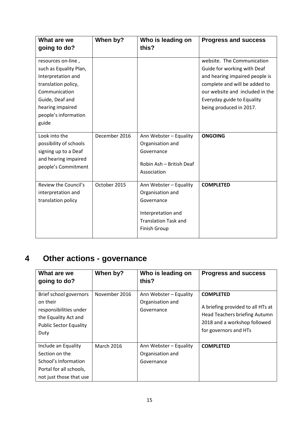| What are we<br>going to do?                                                                                                                                                        | When by?      | Who is leading on<br>this?                                                                                                           | <b>Progress and success</b>                                                                                                                                                                                              |
|------------------------------------------------------------------------------------------------------------------------------------------------------------------------------------|---------------|--------------------------------------------------------------------------------------------------------------------------------------|--------------------------------------------------------------------------------------------------------------------------------------------------------------------------------------------------------------------------|
| resources on-line,<br>such as Equality Plan,<br>Interpretation and<br>translation policy,<br>Communication<br>Guide, Deaf and<br>hearing impaired<br>people's information<br>guide |               |                                                                                                                                      | website. The Communication<br>Guide for working with Deaf<br>and hearing impaired people is<br>complete and will be added to<br>our website and included in the<br>Everyday guide to Equality<br>being produced in 2017. |
| Look into the<br>possibility of schools<br>signing up to a Deaf<br>and hearing impaired<br>people's Commitment                                                                     | December 2016 | Ann Webster - Equality<br>Organisation and<br>Governance<br>Robin Ash - British Deaf<br>Association                                  | <b>ONGOING</b>                                                                                                                                                                                                           |
| Review the Council's<br>interpretation and<br>translation policy                                                                                                                   | October 2015  | Ann Webster - Equality<br>Organisation and<br>Governance<br>Interpretation and<br><b>Translation Task and</b><br><b>Finish Group</b> | <b>COMPLETED</b>                                                                                                                                                                                                         |

## **4 Other actions - governance**

| What are we<br>going to do?                                                                                                   | When by?          | Who is leading on<br>this?                               | <b>Progress and success</b>                                                                                                                     |
|-------------------------------------------------------------------------------------------------------------------------------|-------------------|----------------------------------------------------------|-------------------------------------------------------------------------------------------------------------------------------------------------|
| Brief school governors<br>on their<br>responsibilities under<br>the Equality Act and<br><b>Public Sector Equality</b><br>Duty | November 2016     | Ann Webster - Equality<br>Organisation and<br>Governance | <b>COMPLETED</b><br>A briefing provided to all HTs at<br>Head Teachers briefing Autumn<br>2018 and a workshop followed<br>for governors and HTs |
| Include an Equality<br>Section on the<br>School's Information<br>Portal for all schools,<br>not just those that use           | <b>March 2016</b> | Ann Webster - Equality<br>Organisation and<br>Governance | <b>COMPLETED</b>                                                                                                                                |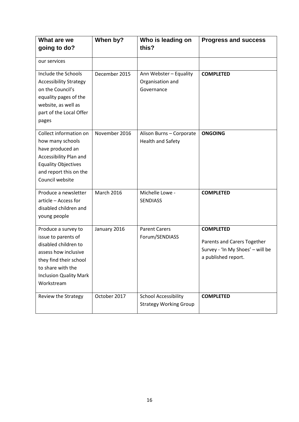| What are we<br>going to do?                                                                                                                                                              | When by?          | Who is leading on<br>this?                                   | <b>Progress and success</b>                                                                                |
|------------------------------------------------------------------------------------------------------------------------------------------------------------------------------------------|-------------------|--------------------------------------------------------------|------------------------------------------------------------------------------------------------------------|
|                                                                                                                                                                                          |                   |                                                              |                                                                                                            |
| our services                                                                                                                                                                             |                   |                                                              |                                                                                                            |
| Include the Schools<br><b>Accessibility Strategy</b><br>on the Council's<br>equality pages of the<br>website, as well as<br>part of the Local Offer<br>pages                             | December 2015     | Ann Webster - Equality<br>Organisation and<br>Governance     | <b>COMPLETED</b>                                                                                           |
| Collect information on<br>how many schools<br>have produced an<br>Accessibility Plan and<br><b>Equality Objectives</b><br>and report this on the<br>Council website                      | November 2016     | Alison Burns - Corporate<br>Health and Safety                | <b>ONGOING</b>                                                                                             |
| Produce a newsletter<br>article - Access for<br>disabled children and<br>young people                                                                                                    | <b>March 2016</b> | Michelle Lowe -<br><b>SENDIASS</b>                           | <b>COMPLETED</b>                                                                                           |
| Produce a survey to<br>issue to parents of<br>disabled children to<br>assess how inclusive<br>they find their school<br>to share with the<br><b>Inclusion Quality Mark</b><br>Workstream | January 2016      | <b>Parent Carers</b><br>Forum/SENDIASS                       | <b>COMPLETED</b><br>Parents and Carers Together<br>Survey - 'In My Shoes' - will be<br>a published report. |
| Review the Strategy                                                                                                                                                                      | October 2017      | <b>School Accessibility</b><br><b>Strategy Working Group</b> | <b>COMPLETED</b>                                                                                           |